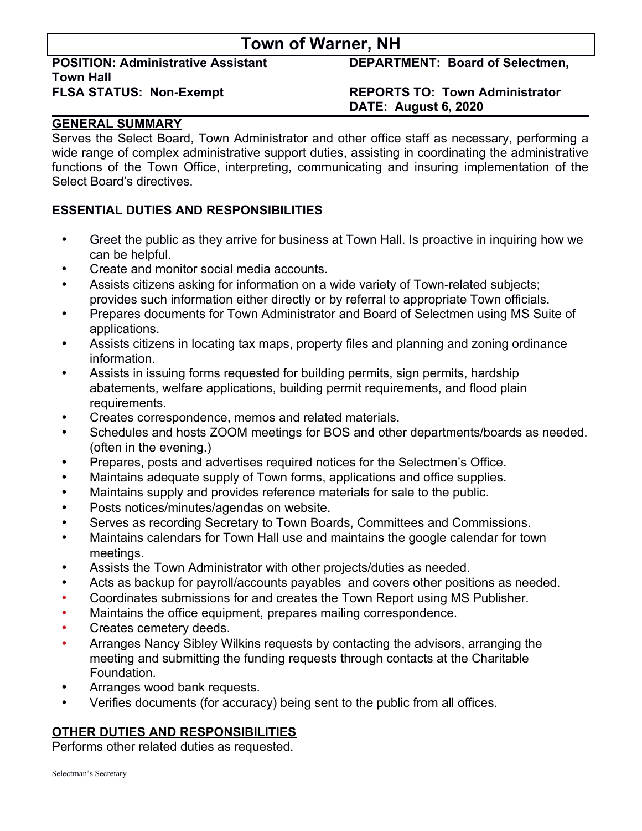# **Town of Warner, NH**

**Town Hall**

**POSITION: Administrative Assistant DEPARTMENT: Board of Selectmen,** 

## **FLSA STATUS: Non-Exempt REPORTS TO: Town Administrator DATE: August 6, 2020**

# **GENERAL SUMMARY**

Serves the Select Board, Town Administrator and other office staff as necessary, performing a wide range of complex administrative support duties, assisting in coordinating the administrative functions of the Town Office, interpreting, communicating and insuring implementation of the Select Board's directives.

## **ESSENTIAL DUTIES AND RESPONSIBILITIES**

- Greet the public as they arrive for business at Town Hall. Is proactive in inquiring how we can be helpful.
- Create and monitor social media accounts.
- Assists citizens asking for information on a wide variety of Town-related subjects; provides such information either directly or by referral to appropriate Town officials.
- Prepares documents for Town Administrator and Board of Selectmen using MS Suite of applications.
- Assists citizens in locating tax maps, property files and planning and zoning ordinance information.
- Assists in issuing forms requested for building permits, sign permits, hardship abatements, welfare applications, building permit requirements, and flood plain requirements.
- Creates correspondence, memos and related materials.
- Schedules and hosts ZOOM meetings for BOS and other departments/boards as needed. (often in the evening.)
- Prepares, posts and advertises required notices for the Selectmen's Office.
- Maintains adequate supply of Town forms, applications and office supplies.
- Maintains supply and provides reference materials for sale to the public.
- Posts notices/minutes/agendas on website.
- Serves as recording Secretary to Town Boards, Committees and Commissions.
- Maintains calendars for Town Hall use and maintains the google calendar for town meetings.
- Assists the Town Administrator with other projects/duties as needed.
- Acts as backup for payroll/accounts payables and covers other positions as needed.
- Coordinates submissions for and creates the Town Report using MS Publisher.
- Maintains the office equipment, prepares mailing correspondence.
- Creates cemetery deeds.
- Arranges Nancy Sibley Wilkins requests by contacting the advisors, arranging the meeting and submitting the funding requests through contacts at the Charitable Foundation.
- Arranges wood bank requests.
- Verifies documents (for accuracy) being sent to the public from all offices.

# **OTHER DUTIES AND RESPONSIBILITIES**

Performs other related duties as requested.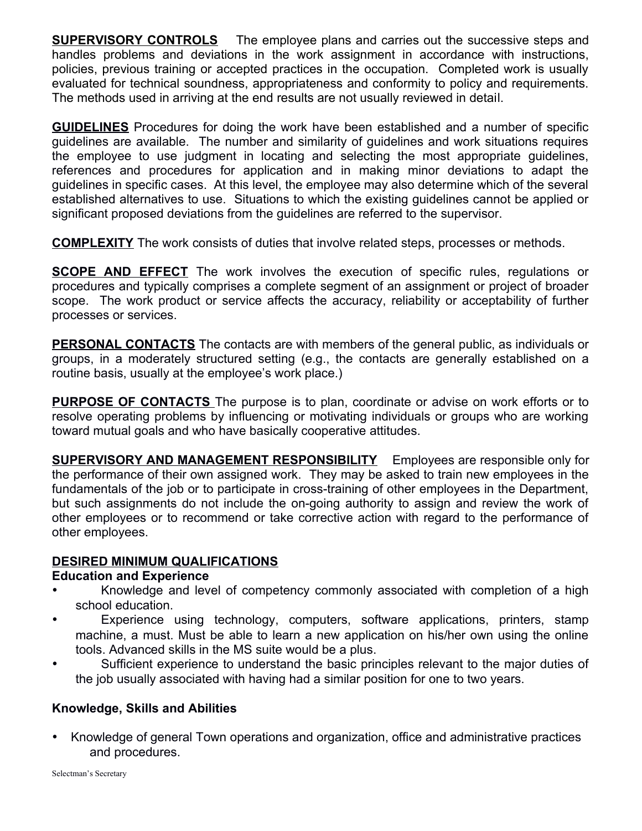**SUPERVISORY CONTROLS** The employee plans and carries out the successive steps and handles problems and deviations in the work assignment in accordance with instructions, policies, previous training or accepted practices in the occupation. Completed work is usually evaluated for technical soundness, appropriateness and conformity to policy and requirements. The methods used in arriving at the end results are not usually reviewed in detail.

**GUIDELINES** Procedures for doing the work have been established and a number of specific guidelines are available. The number and similarity of guidelines and work situations requires the employee to use judgment in locating and selecting the most appropriate guidelines, references and procedures for application and in making minor deviations to adapt the guidelines in specific cases. At this level, the employee may also determine which of the several established alternatives to use. Situations to which the existing guidelines cannot be applied or significant proposed deviations from the guidelines are referred to the supervisor.

**COMPLEXITY** The work consists of duties that involve related steps, processes or methods.

**SCOPE AND EFFECT** The work involves the execution of specific rules, regulations or procedures and typically comprises a complete segment of an assignment or project of broader scope. The work product or service affects the accuracy, reliability or acceptability of further processes or services.

**PERSONAL CONTACTS** The contacts are with members of the general public, as individuals or groups, in a moderately structured setting (e.g., the contacts are generally established on a routine basis, usually at the employee's work place.)

 **PURPOSE OF CONTACTS** The purpose is to plan, coordinate or advise on work efforts or to resolve operating problems by influencing or motivating individuals or groups who are working toward mutual goals and who have basically cooperative attitudes.

**SUPERVISORY AND MANAGEMENT RESPONSIBILITY** Employees are responsible only for the performance of their own assigned work. They may be asked to train new employees in the fundamentals of the job or to participate in cross-training of other employees in the Department, but such assignments do not include the on-going authority to assign and review the work of other employees or to recommend or take corrective action with regard to the performance of other employees.

# **DESIRED MINIMUM QUALIFICATIONS**

# **Education and Experience**

- Knowledge and level of competency commonly associated with completion of a high school education.
- Experience using technology, computers, software applications, printers, stamp machine, a must. Must be able to learn a new application on his/her own using the online tools. Advanced skills in the MS suite would be a plus.
- Sufficient experience to understand the basic principles relevant to the major duties of the job usually associated with having had a similar position for one to two years.

# **Knowledge, Skills and Abilities**

• Knowledge of general Town operations and organization, office and administrative practices and procedures.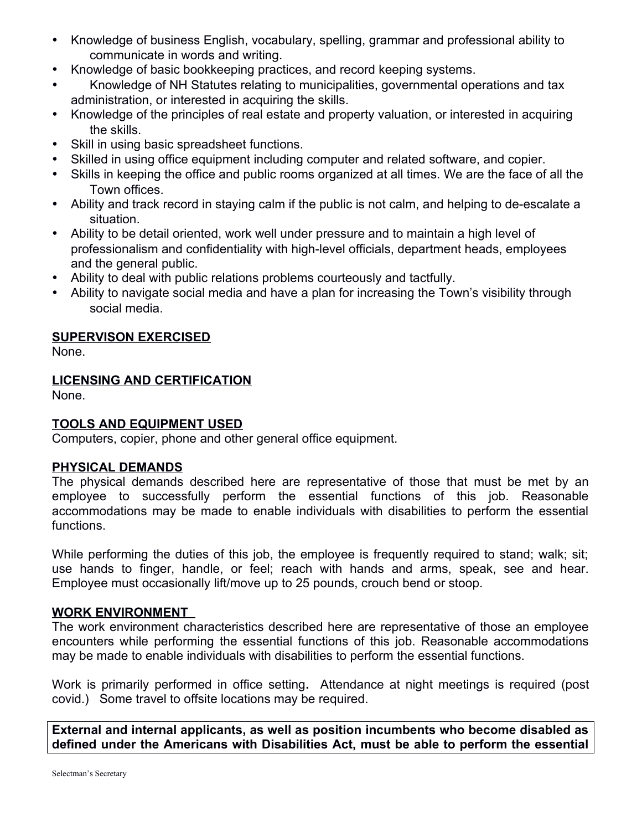- Knowledge of business English, vocabulary, spelling, grammar and professional ability to communicate in words and writing.
- Knowledge of basic bookkeeping practices, and record keeping systems.
- Knowledge of NH Statutes relating to municipalities, governmental operations and tax administration, or interested in acquiring the skills.
- Knowledge of the principles of real estate and property valuation, or interested in acquiring the skills.
- Skill in using basic spreadsheet functions.
- Skilled in using office equipment including computer and related software, and copier.
- Skills in keeping the office and public rooms organized at all times. We are the face of all the Town offices.
- Ability and track record in staying calm if the public is not calm, and helping to de-escalate a situation.
- Ability to be detail oriented, work well under pressure and to maintain a high level of professionalism and confidentiality with high-level officials, department heads, employees and the general public.
- Ability to deal with public relations problems courteously and tactfully.
- Ability to navigate social media and have a plan for increasing the Town's visibility through social media.

### **SUPERVISON EXERCISED**

None.

## **LICENSING AND CERTIFICATION**

None.

### **TOOLS AND EQUIPMENT USED**

Computers, copier, phone and other general office equipment.

### **PHYSICAL DEMANDS**

The physical demands described here are representative of those that must be met by an employee to successfully perform the essential functions of this job. Reasonable accommodations may be made to enable individuals with disabilities to perform the essential functions.

While performing the duties of this job, the employee is frequently required to stand; walk; sit; use hands to finger, handle, or feel; reach with hands and arms, speak, see and hear. Employee must occasionally lift/move up to 25 pounds, crouch bend or stoop.

### **WORK ENVIRONMENT**

The work environment characteristics described here are representative of those an employee encounters while performing the essential functions of this job. Reasonable accommodations may be made to enable individuals with disabilities to perform the essential functions.

Work is primarily performed in office setting**.** Attendance at night meetings is required (post covid.) Some travel to offsite locations may be required.

**External and internal applicants, as well as position incumbents who become disabled as defined under the Americans with Disabilities Act, must be able to perform the essential**